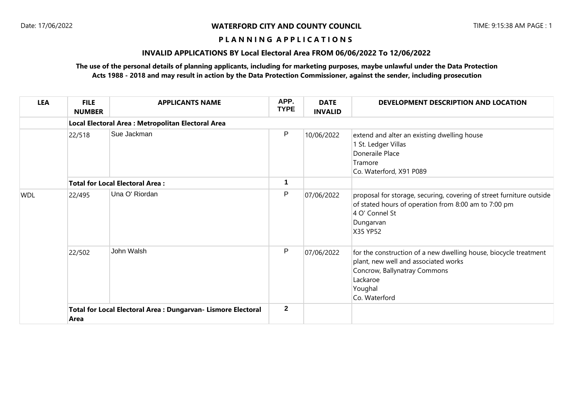#### **P L A N N I N G A P P L I C A T I O N S**

# **INVALID APPLICATIONS BY Local Electoral Area FROM 06/06/2022 To 12/06/2022**

## **The use of the personal details of planning applicants, including for marketing purposes, maybe unlawful under the Data Protection Acts 1988 - 2018 and may result in action by the Data Protection Commissioner, against the sender, including prosecution**

| <b>LEA</b> | <b>FILE</b><br><b>NUMBER</b>                                          | <b>APPLICANTS NAME</b> | APP.<br><b>TYPE</b> | <b>DATE</b><br><b>INVALID</b> | DEVELOPMENT DESCRIPTION AND LOCATION                                                                                                                                             |
|------------|-----------------------------------------------------------------------|------------------------|---------------------|-------------------------------|----------------------------------------------------------------------------------------------------------------------------------------------------------------------------------|
|            | Local Electoral Area : Metropolitan Electoral Area                    |                        |                     |                               |                                                                                                                                                                                  |
|            | 22/518                                                                | Sue Jackman            | P                   | 10/06/2022                    | extend and alter an existing dwelling house<br>1 St. Ledger Villas<br>Doneraile Place<br>Tramore<br>Co. Waterford, X91 P089                                                      |
|            | <b>Total for Local Electoral Area:</b>                                |                        | 1                   |                               |                                                                                                                                                                                  |
| <b>WDL</b> | 22/495                                                                | Una O' Riordan         | P                   | 07/06/2022                    | proposal for storage, securing, covering of street furniture outside<br>of stated hours of operation from 8:00 am to 7:00 pm<br>4 O' Connel St<br>Dungarvan<br>X35 YP52          |
|            | 22/502                                                                | John Walsh             | P                   | 07/06/2022                    | for the construction of a new dwelling house, biocycle treatment<br>plant, new well and associated works<br>Concrow, Ballynatray Commons<br>Lackaroe<br>Youghal<br>Co. Waterford |
|            | Total for Local Electoral Area : Dungarvan- Lismore Electoral<br>Area |                        | $\overline{2}$      |                               |                                                                                                                                                                                  |